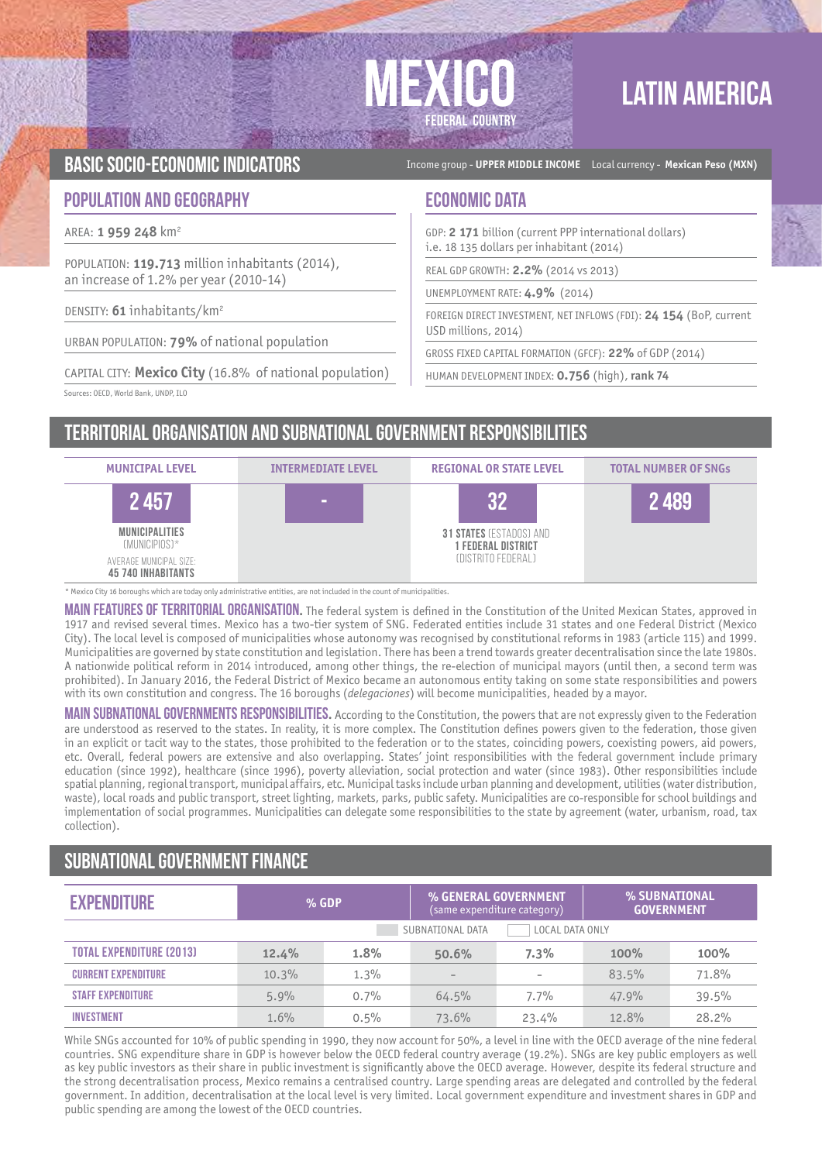# **FEDERAL COUNTRY**

## **LATIN AMERICA**

BASIC SOCIO-ECONOMIC INDICATORS **Income group - UPPER MIDDLE INCOME** Local currency - Mexican Peso (MXN)

#### **POPULATION AND GEOGRAPHY ECONOMIC DATA**

AREA: **1 959 248** km2

POPULATION: **119.713** million inhabitants (2014), an increase of 1.2% per year (2010-14)

DENSITY: **61** inhabitants/km2

URBAN POPULATION: **79%** of national population

CAPITAL CITY: **Mexico City** (16.8% of national population)

Sources: OECD, World Bank, UNDP, ILO

GDP: **2 171** billion (current PPP international dollars) i.e. 18 135 dollars per inhabitant (2014)

REAL GDP GROWTH: **2.2%** (2014 vs 2013)

UNEMPLOYMENT RATE: **4.9%** (2014)

FOREIGN DIRECT INVESTMENT, NET INFLOWS (FDI): **24 154** (BoP, current USD millions, 2014)

GROSS FIXED CAPITAL FORMATION (GFCF): **22%** of GDP (2014)

HUMAN DEVELOPMENT INDEX: **0.756** (high), **rank 74**

Territorial organisation and subnational government RESPONSIBILITIES



\* Mexico City 16 boroughs which are today only administrative entities, are not included in the count of municipalities.

MAIN FEATURES OF TERRITORIAL ORGANISATION. The federal system is defined in the Constitution of the United Mexican States, approved in 1917 and revised several times. Mexico has a two-tier system of SNG. Federated entities include 31 states and one Federal District (Mexico City). The local level is composed of municipalities whose autonomy was recognised by constitutional reforms in 1983 (article 115) and 1999. Municipalities are governed by state constitution and legislation. There has been a trend towards greater decentralisation since the late 1980s. A nationwide political reform in 2014 introduced, among other things, the re-election of municipal mayors (until then, a second term was prohibited). In January 2016, the Federal District of Mexico became an autonomous entity taking on some state responsibilities and powers with its own constitution and congress. The 16 boroughs (*delegaciones*) will become municipalities, headed by a mayor.

MAIN SUBNATIONAL GOVERNMENTS RESPONSIBILITIES. According to the Constitution, the powers that are not expressly given to the Federation are understood as reserved to the states. In reality, it is more complex. The Constitution defines powers given to the federation, those given in an explicit or tacit way to the states, those prohibited to the federation or to the states, coinciding powers, coexisting powers, aid powers, etc. Overall, federal powers are extensive and also overlapping. States' joint responsibilities with the federal government include primary education (since 1992), healthcare (since 1996), poverty alleviation, social protection and water (since 1983). Other responsibilities include spatial planning, regional transport, municipal affairs, etc. Municipal tasks include urban planning and development, utilities (water distribution, waste), local roads and public transport, street lighting, markets, parks, public safety. Municipalities are co-responsible for school buildings and implementation of social programmes. Municipalities can delegate some responsibilities to the state by agreement (water, urbanism, road, tax collection).

### Subnational government finance

| <b>EXPENDITURE</b>                  | $%$ GDP |      | % GENERAL GOVERNMENT | (same expenditure category) | % SUBNATIONAL<br><b>GOVERNMENT</b> |       |
|-------------------------------------|---------|------|----------------------|-----------------------------|------------------------------------|-------|
| LOCAL DATA ONLY<br>SUBNATIONAL DATA |         |      |                      |                             |                                    |       |
| <b>TOTAL EXPENDITURE (2013)</b>     | 12.4%   | 1.8% | 50.6%                | 7.3%                        | 100%                               | 100%  |
| <b>CURRENT EXPENDITURE</b>          | 10.3%   | 1.3% |                      |                             | 83.5%                              | 71.8% |
| <b><i>STAFF EXPENDITURE</i></b>     | 5.9%    | 0.7% | 64.5%                | 7.7%                        | 47.9%                              | 39.5% |
| <b>INVESTMENT</b>                   | 1.6%    | 0.5% | 73.6%                | 23.4%                       | 12.8%                              | 28.2% |

While SNGs accounted for 10% of public spending in 1990, they now account for 50%, a level in line with the OECD average of the nine federal countries. SNG expenditure share in GDP is however below the OECD federal country average (19.2%). SNGs are key public employers as well as key public investors as their share in public investment is significantly above the OECD average. However, despite its federal structure and the strong decentralisation process, Mexico remains a centralised country. Large spending areas are delegated and controlled by the federal government. In addition, decentralisation at the local level is very limited. Local government expenditure and investment shares in GDP and public spending are among the lowest of the OECD countries.